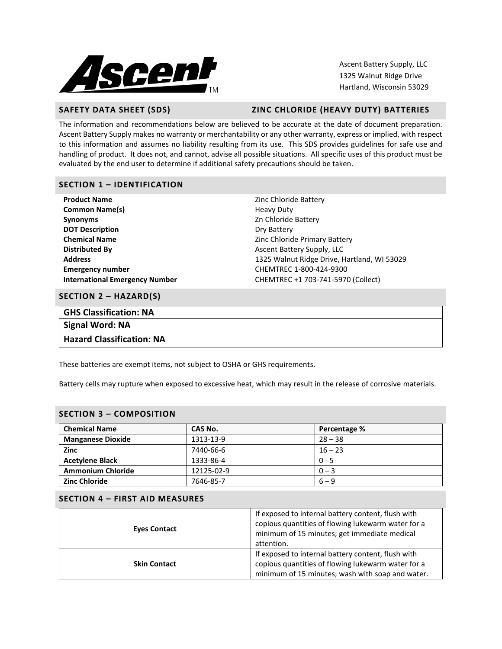

Ascent Battery Supply, LLC 1325 Walnut Ridge Drive Hartland, Wisconsin 53029

# **SAFETY DATA SHEET (SDS) ZINC CHLORIDE (HEAVY DUTY) BATTERIES**

The information and recommendations below are believed to be accurate at the date of document preparation. Ascent Battery Supply makes no warranty or merchantability or any other warranty, express or implied, with respect to this information and assumes no liability resulting from its use. This SDS provides guidelines for safe use and handling of product. It does not, and cannot, advise all possible situations. All specific uses of this product must be evaluated by the end user to determine if additional safety precautions should be taken.

# **SECTION 1 – IDENTIFICATION**

| <b>Product Name</b>                   | Zinc Chloride Battery                       |  |  |
|---------------------------------------|---------------------------------------------|--|--|
| <b>Common Name(s)</b>                 | <b>Heavy Duty</b>                           |  |  |
| <b>Synonyms</b>                       | Zn Chloride Battery                         |  |  |
| <b>DOT Description</b>                | Dry Battery                                 |  |  |
| <b>Chemical Name</b>                  | Zinc Chloride Primary Battery               |  |  |
| <b>Distributed By</b>                 | Ascent Battery Supply, LLC                  |  |  |
| <b>Address</b>                        | 1325 Walnut Ridge Drive, Hartland, WI 53029 |  |  |
| <b>Emergency number</b>               | CHEMTREC 1-800-424-9300                     |  |  |
| <b>International Emergency Number</b> | CHEMTREC +1 703-741-5970 (Collect)          |  |  |

### **SECTION 2 – HAZARD(S)**

| <b>GHS Classification: NA</b> |  |
|-------------------------------|--|
| Signal Word: NA               |  |
| Hazard Classification: NA     |  |

These batteries are exempt items, not subject to OSHA or GHS requirements.

Battery cells may rupture when exposed to excessive heat, which may result in the release of corrosive materials.

### **SECTION 3 – COMPOSITION**

| <b>Chemical Name</b>     | CAS No.    | Percentage % |
|--------------------------|------------|--------------|
| <b>Manganese Dioxide</b> | 1313-13-9  | $28 - 38$    |
| <b>Zinc</b>              | 7440-66-6  | $16 - 23$    |
| <b>Acetylene Black</b>   | 1333-86-4  | $0 - 5$      |
| <b>Ammonium Chloride</b> | 12125-02-9 | $0 - 3$      |
| <b>Zinc Chloride</b>     | 7646-85-7  | $6 - 9$      |

# **SECTION 4 – FIRST AID MEASURES**

| <b>Eyes Contact</b> | If exposed to internal battery content, flush with<br>copious quantities of flowing lukewarm water for a<br>minimum of 15 minutes; get immediate medical<br>attention. |
|---------------------|------------------------------------------------------------------------------------------------------------------------------------------------------------------------|
| <b>Skin Contact</b> | If exposed to internal battery content, flush with<br>copious quantities of flowing lukewarm water for a<br>minimum of 15 minutes; wash with soap and water.           |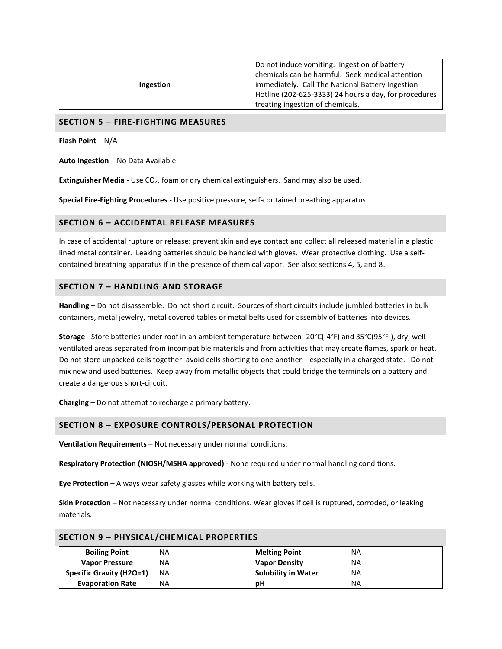| Ingestion | Do not induce vomiting. Ingestion of battery<br>chemicals can be harmful. Seek medical attention<br>immediately. Call The National Battery Ingestion<br>Hotline (202-625-3333) 24 hours a day, for procedures |
|-----------|---------------------------------------------------------------------------------------------------------------------------------------------------------------------------------------------------------------|
|           | treating ingestion of chemicals.                                                                                                                                                                              |

#### **SECTION 5 – FIRE-FIGHTING MEASURES**

**Flash Point** – N/A

**Auto Ingestion** – No Data Available

**Extinguisher Media** - Use CO<sub>2</sub>, foam or dry chemical extinguishers. Sand may also be used.

**Special Fire-Fighting Procedures** - Use positive pressure, self-contained breathing apparatus.

#### **SECTION 6 – ACCIDENTAL RELEASE MEASURES**

In case of accidental rupture or release: prevent skin and eye contact and collect all released material in a plastic lined metal container. Leaking batteries should be handled with gloves. Wear protective clothing. Use a selfcontained breathing apparatus if in the presence of chemical vapor. See also: sections 4, 5, and 8.

#### **SECTION 7 – HANDLING AND STORAGE**

**Handling** – Do not disassemble. Do not short circuit. Sources of short circuits include jumbled batteries in bulk containers, metal jewelry, metal covered tables or metal belts used for assembly of batteries into devices.

**Storage** - Store batteries under roof in an ambient temperature between -20°C(-4°F) and 35°C(95°F ), dry, wellventilated areas separated from incompatible materials and from activities that may create flames, spark or heat. Do not store unpacked cells together: avoid cells shorting to one another – especially in a charged state. Do not mix new and used batteries. Keep away from metallic objects that could bridge the terminals on a battery and create a dangerous short-circuit.

**Charging** – Do not attempt to recharge a primary battery.

#### **SECTION 8 – EXPOSURE CONTROLS/PERSONAL PROTECTION**

**Ventilation Requirements** – Not necessary under normal conditions.

**Respiratory Protection (NIOSH/MSHA approved)** - None required under normal handling conditions.

**Eye Protection** – Always wear safety glasses while working with battery cells.

**Skin Protection** – Not necessary under normal conditions. Wear gloves if cell is ruptured, corroded, or leaking materials.

#### **SECTION 9 – PHYSICAL/CHEMICAL PROPERTIES**

| <b>Boiling Point</b>            | <b>NA</b> | <b>Melting Point</b>       | NA        |
|---------------------------------|-----------|----------------------------|-----------|
| <b>Vapor Pressure</b>           | <b>NA</b> | <b>Vapor Density</b>       | NA        |
| <b>Specific Gravity (H2O=1)</b> | <b>NA</b> | <b>Solubility in Water</b> | <b>NA</b> |
| <b>Evaporation Rate</b>         | ΝA        | рH                         | <b>NA</b> |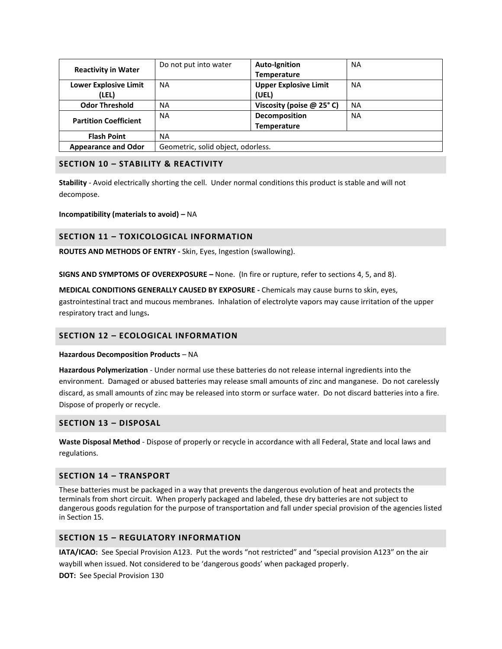| <b>Reactivity in Water</b>   | Do not put into water              | <b>Auto-Ignition</b>         | <b>NA</b> |
|------------------------------|------------------------------------|------------------------------|-----------|
|                              |                                    | <b>Temperature</b>           |           |
| <b>Lower Explosive Limit</b> | <b>NA</b>                          | <b>Upper Explosive Limit</b> | <b>NA</b> |
| (LEL)                        |                                    | (UEL)                        |           |
| <b>Odor Threshold</b>        | ΝA                                 | Viscosity (poise @ 25°C)     | <b>NA</b> |
| <b>Partition Coefficient</b> | <b>NA</b>                          | Decomposition                | <b>NA</b> |
|                              |                                    | <b>Temperature</b>           |           |
| <b>Flash Point</b>           | <b>NA</b>                          |                              |           |
| <b>Appearance and Odor</b>   | Geometric, solid object, odorless. |                              |           |

# **SECTION 10 – STABILITY & REACTIVITY**

**Stability** - Avoid electrically shorting the cell. Under normal conditions this product is stable and will not decompose.

**Incompatibility (materials to avoid) –** NA

# **SECTION 11 – TOXICOLOGICAL INFORMATION**

**ROUTES AND METHODS OF ENTRY -** Skin, Eyes, Ingestion (swallowing).

**SIGNS AND SYMPTOMS OF OVEREXPOSURE –** None. (In fire or rupture, refer to sections 4, 5, and 8).

**MEDICAL CONDITIONS GENERALLY CAUSED BY EXPOSURE -** Chemicals may cause burns to skin, eyes, gastrointestinal tract and mucous membranes. Inhalation of electrolyte vapors may cause irritation of the upper respiratory tract and lungs**.**

# **SECTION 12 – ECOLOGICAL INFORMATION**

#### **Hazardous Decomposition Products** – NA

**Hazardous Polymerization** - Under normal use these batteries do not release internal ingredients into the environment. Damaged or abused batteries may release small amounts of zinc and manganese. Do not carelessly discard, as small amounts of zinc may be released into storm or surface water. Do not discard batteries into a fire. Dispose of properly or recycle.

# **SECTION 13 – DISPOSAL**

**Waste Disposal Method** - Dispose of properly or recycle in accordance with all Federal, State and local laws and regulations.

### **SECTION 14 – TRANSPORT**

These batteries must be packaged in a way that prevents the dangerous evolution of heat and protects the terminals from short circuit. When properly packaged and labeled, these dry batteries are not subject to dangerous goods regulation for the purpose of transportation and fall under special provision of the agencies listed in Section 15.

# **SECTION 15 – REGULATORY INFORMATION**

**IATA/ICAO:** See Special Provision A123. Put the words "not restricted" and "special provision A123" on the air waybill when issued. Not considered to be 'dangerous goods' when packaged properly.

**DOT:** See Special Provision 130